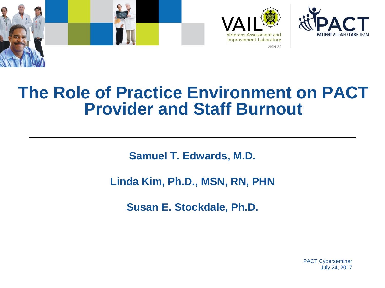





#### **The Role of Practice Environment on PACT Provider and Staff Burnout**

**Samuel T. Edwards, M.D.**

**Linda Kim, Ph.D., MSN, RN, PHN**

**Susan E. Stockdale, Ph.D.**

PACT Cyberseminar July 24, 2017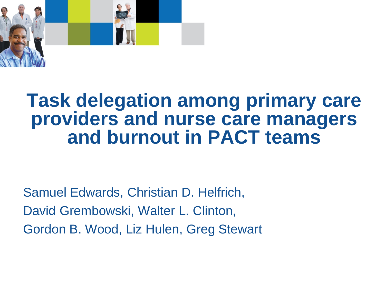

#### **Task delegation among primary care providers and nurse care managers and burnout in PACT teams**

Samuel Edwards, Christian D. Helfrich, David Grembowski, Walter L. Clinton, Gordon B. Wood, Liz Hulen, Greg Stewart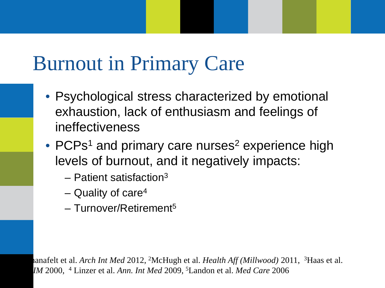## Burnout in Primary Care

- Psychological stress characterized by emotional exhaustion, lack of enthusiasm and feelings of ineffectiveness
- $\bullet$  PCPs<sup>1</sup> and primary care nurses<sup>2</sup> experience high levels of burnout, and it negatively impacts:
	- $-$  Patient satisfaction<sup>3</sup>
	- Quality of care<sup>4</sup>
	- Turnover/Retirement5

1Shanafelt et al. *Arch Int Med* 2012, 2McHugh et al. *Health Aff (Millwood)* 2011, 3Haas et al. *JGIM* 2000, 4 Linzer et al. *Ann. Int Med* 2009, 5Landon et al. *Med Care* 2006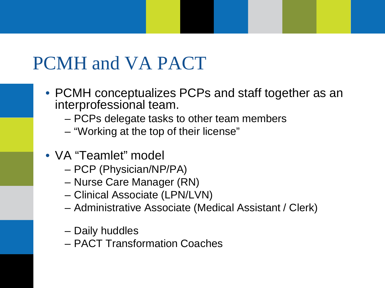### PCMH and VA PACT

- PCMH conceptualizes PCPs and staff together as an interprofessional team.
	- PCPs delegate tasks to other team members
	- "Working at the top of their license"
- VA "Teamlet" model
	- PCP (Physician/NP/PA)
	- Nurse Care Manager (RN)
	- Clinical Associate (LPN/LVN)
	- Administrative Associate (Medical Assistant / Clerk)
	- Daily huddles
	- PACT Transformation Coaches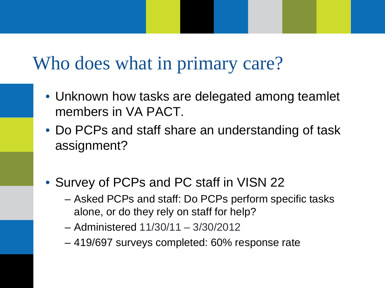#### Who does what in primary care?

- Unknown how tasks are delegated among teamlet members in VA PACT.
- Do PCPs and staff share an understanding of task assignment?
- Survey of PCPs and PC staff in VISN 22
	- Asked PCPs and staff: Do PCPs perform specific tasks alone, or do they rely on staff for help?
	- Administered 11/30/11 3/30/2012
	- 419/697 surveys completed: 60% response rate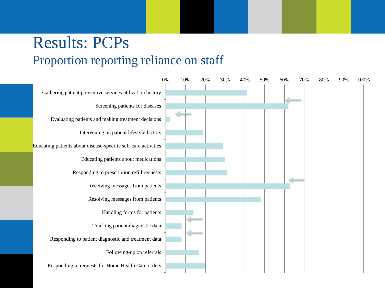#### Results: PCPs Proportion reporting reliance on staff

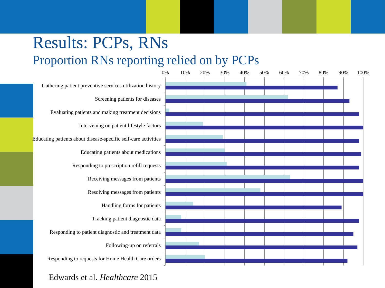#### Results: PCPs, RNs Proportion RNs reporting relied on by PCPs



Edwards et al. *Healthcare* 2015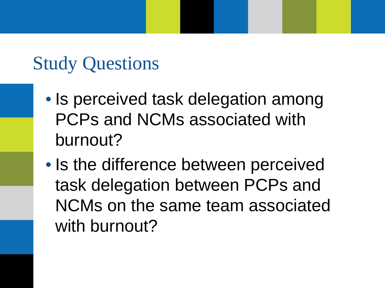### Study Questions

- Is perceived task delegation among PCPs and NCMs associated with burnout?
- Is the difference between perceived task delegation between PCPs and NCMs on the same team associated with burnout?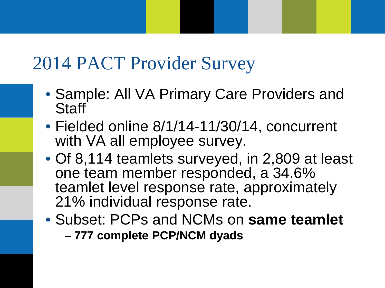### 2014 PACT Provider Survey

- Sample: All VA Primary Care Providers and Staff
- Fielded online 8/1/14-11/30/14, concurrent with VA all employee survey.
- Of 8,114 teamlets surveyed, in 2,809 at least one team member responded, a 34.6% teamlet level response rate, approximately 21% individual response rate.
- Subset: PCPs and NCMs on **same teamlet** – **777 complete PCP/NCM dyads**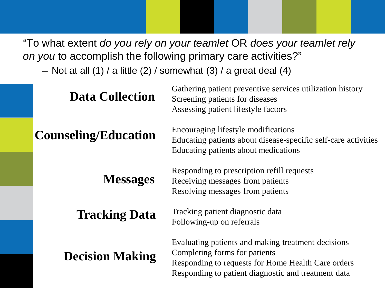"To what extent *do you rely on your teamlet* OR *does your teamlet rely on you* to accomplish the following primary care activities?"

– Not at all  $(1)$  / a little  $(2)$  / somewhat  $(3)$  / a great deal  $(4)$ 

| <b>Data Collection</b>      | Gathering patient preventive services utilization history<br>Screening patients for diseases<br>Assessing patient lifestyle factors                                                              |
|-----------------------------|--------------------------------------------------------------------------------------------------------------------------------------------------------------------------------------------------|
| <b>Counseling/Education</b> | Encouraging lifestyle modifications<br>Educating patients about disease-specific self-care activities<br>Educating patients about medications                                                    |
| <b>Messages</b>             | Responding to prescription refill requests<br>Receiving messages from patients<br>Resolving messages from patients                                                                               |
| <b>Tracking Data</b>        | Tracking patient diagnostic data<br>Following-up on referrals                                                                                                                                    |
| <b>Decision Making</b>      | Evaluating patients and making treatment decisions<br>Completing forms for patients<br>Responding to requests for Home Health Care orders<br>Responding to patient diagnostic and treatment data |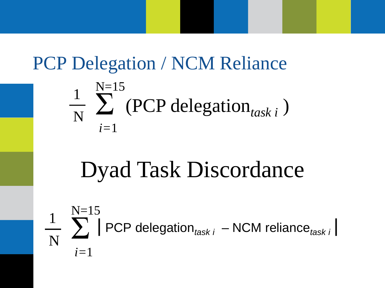### PCP Delegation / NCM Reliance

$$
\frac{1}{N} \sum_{i=1}^{N=15} (PCP delegation_{task i})
$$

# Dyad Task Discordance

$$
\frac{1}{N} \sum_{i=1}^{N=15} |PCP \text{ delegation}_{task i} - NCM \text{ reliance}_{task i}|
$$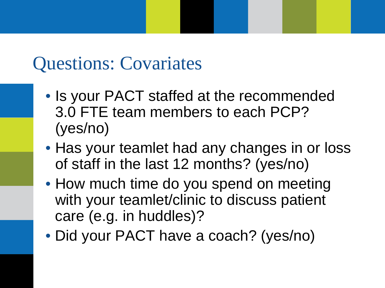#### Questions: Covariates

- Is your PACT staffed at the recommended 3.0 FTE team members to each PCP? (yes/no)
- Has your teamlet had any changes in or loss of staff in the last 12 months? (yes/no)
- How much time do you spend on meeting with your teamlet/clinic to discuss patient care (e.g. in huddles)?
- Did your PACT have a coach? (yes/no)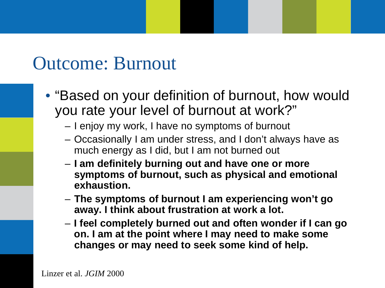#### Outcome: Burnout

- "Based on your definition of burnout, how would you rate your level of burnout at work?"
	- I enjoy my work, I have no symptoms of burnout
	- Occasionally I am under stress, and I don't always have as much energy as I did, but I am not burned out
	- **I am definitely burning out and have one or more symptoms of burnout, such as physical and emotional exhaustion.**
	- **The symptoms of burnout I am experiencing won't go away. I think about frustration at work a lot.**
	- **I feel completely burned out and often wonder if I can go on. I am at the point where I may need to make some changes or may need to seek some kind of help.**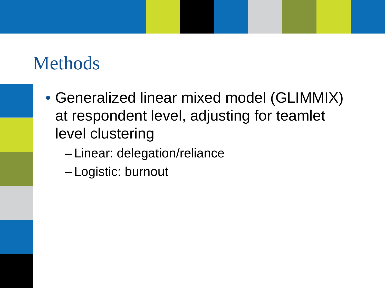### Methods

- Generalized linear mixed model (GLIMMIX) at respondent level, adjusting for teamlet level clustering
	- Linear: delegation/reliance
	- Logistic: burnout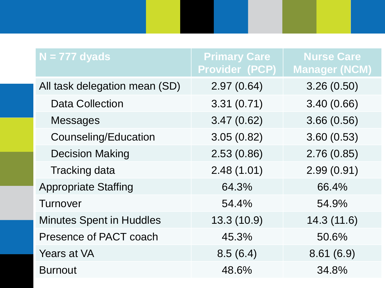| $N = 777$ dyads                 | <b>Primary Care</b><br><b>Provider (PCP)</b> | <b>Nurse Care</b><br><b>Manager (NCM)</b> |
|---------------------------------|----------------------------------------------|-------------------------------------------|
| All task delegation mean (SD)   | 2.97(0.64)                                   | 3.26(0.50)                                |
| <b>Data Collection</b>          | 3.31(0.71)                                   | 3.40(0.66)                                |
| <b>Messages</b>                 | 3.47(0.62)                                   | 3.66(0.56)                                |
| Counseling/Education            | 3.05(0.82)                                   | 3.60(0.53)                                |
| <b>Decision Making</b>          | 2.53(0.86)                                   | 2.76(0.85)                                |
| <b>Tracking data</b>            | 2.48(1.01)                                   | 2.99(0.91)                                |
| <b>Appropriate Staffing</b>     | 64.3%                                        | 66.4%                                     |
| <b>Turnover</b>                 | 54.4%                                        | 54.9%                                     |
| <b>Minutes Spent in Huddles</b> | 13.3 (10.9)                                  | 14.3(11.6)                                |
| Presence of PACT coach          | 45.3%                                        | 50.6%                                     |
| Years at VA                     | 8.5(6.4)                                     | 8.61(6.9)                                 |
| <b>Burnout</b>                  | 48.6%                                        | 34.8%                                     |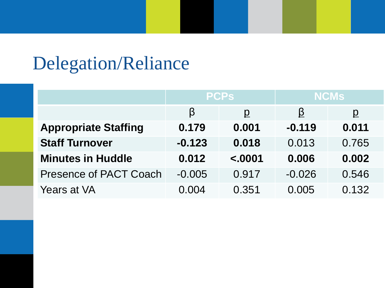### Delegation/Reliance

|                               |          | <b>PCPs</b>    | <b>NCMS</b> |                |  |
|-------------------------------|----------|----------------|-------------|----------------|--|
|                               | β        | $\overline{D}$ | <u>B</u>    | $\overline{D}$ |  |
| <b>Appropriate Staffing</b>   | 0.179    | 0.001          | $-0.119$    | 0.011          |  |
| <b>Staff Turnover</b>         | $-0.123$ | 0.018          | 0.013       | 0.765          |  |
| <b>Minutes in Huddle</b>      | 0.012    | < .0001        | 0.006       | 0.002          |  |
| <b>Presence of PACT Coach</b> | $-0.005$ | 0.917          | $-0.026$    | 0.546          |  |
| <b>Years at VA</b>            | 0.004    | 0.351          | 0.005       | 0.132          |  |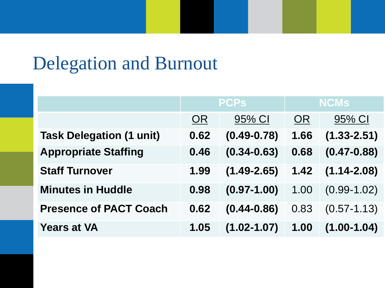### Delegation and Burnout

|                                 | <b>PCPs</b> |                 | <b>NCMs</b> |                 |
|---------------------------------|-------------|-----------------|-------------|-----------------|
|                                 | <b>OR</b>   | 95% CI          | <b>OR</b>   | 95% CI          |
| <b>Task Delegation (1 unit)</b> | 0.62        | $(0.49 - 0.78)$ | 1.66        | $(1.33 - 2.51)$ |
| <b>Appropriate Staffing</b>     | 0.46        | $(0.34 - 0.63)$ | 0.68        | $(0.47 - 0.88)$ |
| <b>Staff Turnover</b>           | 1.99        | $(1.49 - 2.65)$ | 1.42        | $(1.14 - 2.08)$ |
| <b>Minutes in Huddle</b>        | 0.98        | $(0.97 - 1.00)$ | 1.00        | $(0.99 - 1.02)$ |
| <b>Presence of PACT Coach</b>   | 0.62        | $(0.44 - 0.86)$ | 0.83        | $(0.57 - 1.13)$ |
| <b>Years at VA</b>              | 1.05        | $(1.02 - 1.07)$ | 1.00        | $(1.00 - 1.04)$ |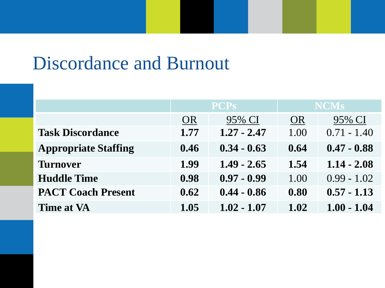#### Discordance and Burnout

|                             | <b>PCPs</b> |               | <b>NCMs</b> |               |
|-----------------------------|-------------|---------------|-------------|---------------|
|                             | <b>OR</b>   | 95% CI        | <b>OR</b>   | 95% CI        |
| <b>Task Discordance</b>     | 1.77        | $1.27 - 2.47$ | 1.00        | $0.71 - 1.40$ |
| <b>Appropriate Staffing</b> | 0.46        | $0.34 - 0.63$ | 0.64        | $0.47 - 0.88$ |
| <b>Turnover</b>             | 1.99        | $1.49 - 2.65$ | 1.54        | $1.14 - 2.08$ |
| <b>Huddle Time</b>          | 0.98        | $0.97 - 0.99$ | 1.00        | $0.99 - 1.02$ |
| <b>PACT Coach Present</b>   | 0.62        | $0.44 - 0.86$ | 0.80        | $0.57 - 1.13$ |
| <b>Time at VA</b>           | 1.05        | $1.02 - 1.07$ | 1.02        | $1.00 - 1.04$ |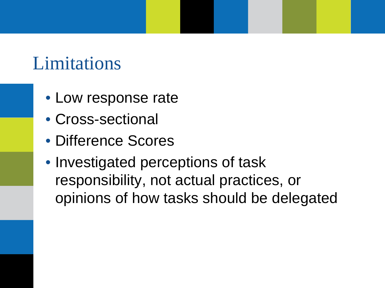### Limitations

- Low response rate
- Cross-sectional
- Difference Scores
- Investigated perceptions of task responsibility, not actual practices, or opinions of how tasks should be delegated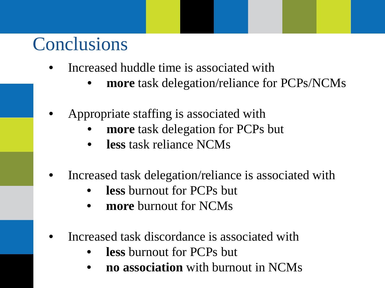### Conclusions

- Increased huddle time is associated with
	- **more** task delegation/reliance for PCPs/NCMs
- Appropriate staffing is associated with
	- **more** task delegation for PCPs but
	- **less** task reliance NCMs
- Increased task delegation/reliance is associated with
	- **less** burnout for PCPs but
	- **more** burnout for NCMs
- Increased task discordance is associated with
	- **less** burnout for PCPs but
	- **no association** with burnout in NCMs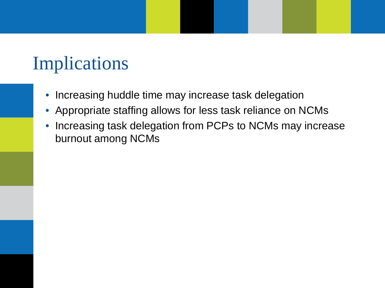### Implications

- Increasing huddle time may increase task delegation
- Appropriate staffing allows for less task reliance on NCMs
- Increasing task delegation from PCPs to NCMs may increase burnout among NCMs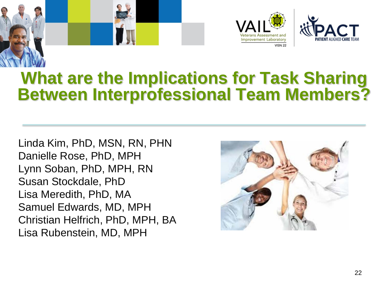





#### **What are the Implications for Task Sharing Between Interprofessional Team Members?**

Linda Kim, PhD, MSN, RN, PHN Danielle Rose, PhD, MPH Lynn Soban, PhD, MPH, RN Susan Stockdale, PhD Lisa Meredith, PhD, MA Samuel Edwards, MD, MPH Christian Helfrich, PhD, MPH, BA Lisa Rubenstein, MD, MPH

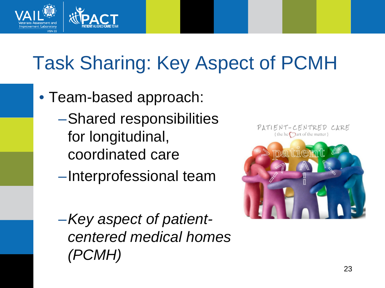

## Task Sharing: Key Aspect of PCMH

- Team-based approach:
	- –Shared responsibilities for longitudinal, coordinated care
	- –Interprofessional team
	- –*Key aspect of patientcentered medical homes (PCMH)*

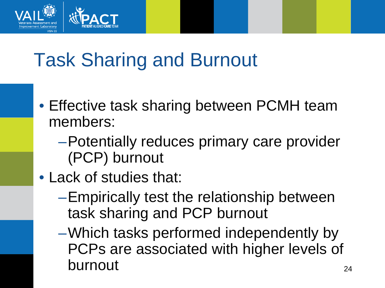

## Task Sharing and Burnout

- Effective task sharing between PCMH team members:
	- –Potentially reduces primary care provider (PCP) burnout
- Lack of studies that:
	- –Empirically test the relationship between task sharing and PCP burnout
	- –Which tasks performed independently by PCPs are associated with higher levels of burnout 24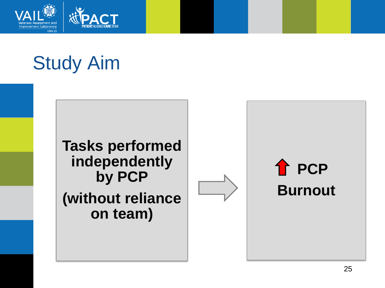

## Study Aim

#### **Tasks performed independently by PCP (without reliance on team)**



## **PCP Burnout**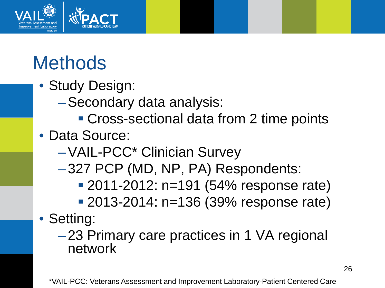

## **Methods**

- Study Design:
	- –Secondary data analysis:
		- Cross-sectional data from 2 time points

#### • Data Source:

- –VAIL-PCC\* Clinician Survey
- –327 PCP (MD, NP, PA) Respondents:
	- **2011-2012: n=191 (54% response rate)**
	- 2013-2014: n=136 (39% response rate)
- Setting:
	- –23 Primary care practices in 1 VA regional network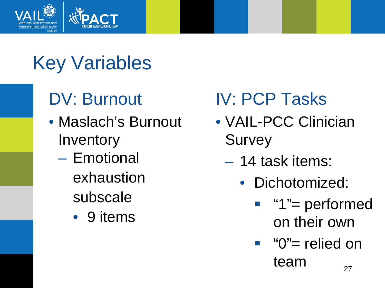

## Key Variables

## DV: Burnout

- Maslach's Burnout **Inventory** 
	- Emotional exhaustion subscale
		- 9 items

### IV: PCP Tasks

- VAIL-PCC Clinician **Survey** 
	- 14 task items:
		- Dichotomized:
			- "1"= performed on their own
			- $"$  "0"= relied on team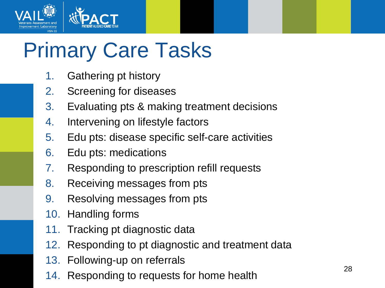

# Primary Care Tasks

- 1. Gathering pt history
- 2. Screening for diseases
- 3. Evaluating pts & making treatment decisions
- 4. Intervening on lifestyle factors
- 5. Edu pts: disease specific self-care activities
- 6. Edu pts: medications
- 7. Responding to prescription refill requests
- 8. Receiving messages from pts
- 9. Resolving messages from pts
- 10. Handling forms
- 11. Tracking pt diagnostic data
- 12. Responding to pt diagnostic and treatment data
- 13. Following-up on referrals
- 14. Responding to requests for home health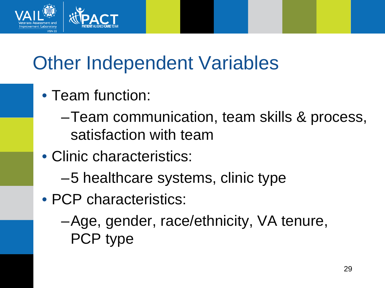

## Other Independent Variables

- Team function:
	- –Team communication, team skills & process, satisfaction with team
- Clinic characteristics:
	- –5 healthcare systems, clinic type
- PCP characteristics:
	- –Age, gender, race/ethnicity, VA tenure, PCP type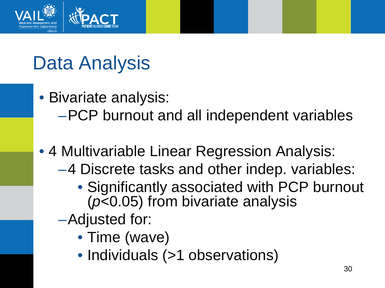

## Data Analysis

- Bivariate analysis:
	- –PCP burnout and all independent variables
- 4 Multivariable Linear Regression Analysis:
	- –4 Discrete tasks and other indep. variables:
		- Significantly associated with PCP burnout (*p*<0.05) from bivariate analysis
	- –Adjusted for:
		- Time (wave)
		- Individuals (>1 observations)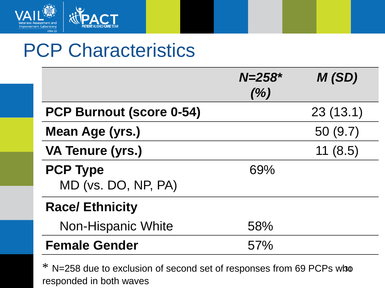

#### PCP Characteristics

|                                        | $N = 258$ *<br>(% ) | M(SD)    |
|----------------------------------------|---------------------|----------|
| <b>PCP Burnout (score 0-54)</b>        |                     | 23(13.1) |
| Mean Age (yrs.)                        |                     | 50(9.7)  |
| <b>VA Tenure (yrs.)</b>                |                     | 11(8.5)  |
| <b>PCP Type</b><br>MD (vs. DO, NP, PA) | 69%                 |          |
| <b>Race/Ethnicity</b>                  |                     |          |
| <b>Non-Hispanic White</b>              | 58%                 |          |
| <b>Female Gender</b>                   | 57%                 |          |

\* N=258 due to exclusion of second set of responses from 69 PCPs who responded in both waves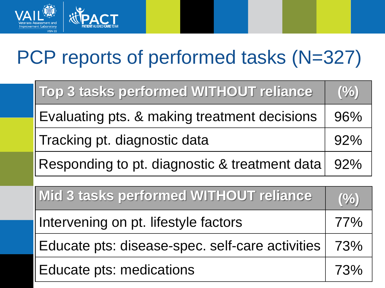

## PCP reports of performed tasks (N=327)

| Top 3 tasks performed WITHOUT reliance                    | (%  |
|-----------------------------------------------------------|-----|
| Evaluating pts. & making treatment decisions              | 96% |
| Tracking pt. diagnostic data                              |     |
| Responding to pt. diagnostic & treatment data $\vert$ 92% |     |

| Mid 3 tasks performed WITHOUT reliance                | (%) |
|-------------------------------------------------------|-----|
| Intervening on pt. lifestyle factors                  | 77% |
| Educate pts: disease-spec. self-care activities   73% |     |
| Educate pts: medications                              | 73% |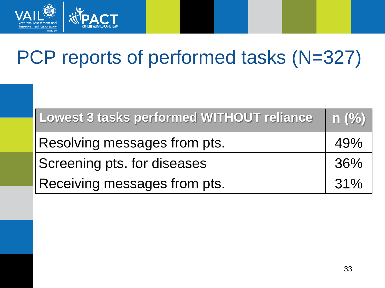

## PCP reports of performed tasks (N=327)

| Lowest 3 tasks performed WITHOUT reliance | $\mid$ n $(\%) \mid$ |
|-------------------------------------------|----------------------|
| Resolving messages from pts.              | 49%                  |
| Screening pts. for diseases               |                      |
| Receiving messages from pts.              | 31%                  |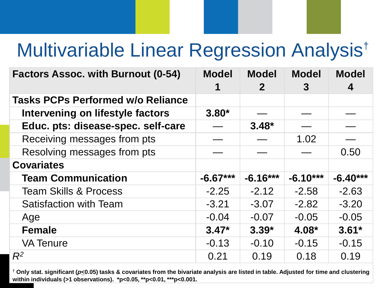## Multivariable Linear Regression Analysis†

| <b>Factors Assoc. with Burnout (0-54)</b> | <b>Model</b> | <b>Model</b><br>2 <sup>1</sup> | <b>Model</b><br>3 | <b>Model</b><br>4 |
|-------------------------------------------|--------------|--------------------------------|-------------------|-------------------|
| <b>Tasks PCPs Performed w/o Reliance</b>  |              |                                |                   |                   |
| Intervening on lifestyle factors          | $3.80*$      |                                |                   |                   |
| Educ. pts: disease-spec. self-care        |              | $3.48*$                        |                   |                   |
| Receiving messages from pts               |              |                                | 1.02              |                   |
| Resolving messages from pts               |              |                                |                   | 0.50              |
| <b>Covariates</b>                         |              |                                |                   |                   |
| <b>Team Communication</b>                 | $-6.67***$   | $-6.16***$                     | $-6.10***$        | $-6.40***$        |
| <b>Team Skills &amp; Process</b>          | $-2.25$      | $-2.12$                        | $-2.58$           | $-2.63$           |
| <b>Satisfaction with Team</b>             | $-3.21$      | $-3.07$                        | $-2.82$           | $-3.20$           |
| Age                                       | $-0.04$      | $-0.07$                        | $-0.05$           | $-0.05$           |
| <b>Female</b>                             | $3.47*$      | $3.39*$                        | 4.08*             | $3.61*$           |
| <b>VA Tenure</b>                          | $-0.13$      | $-0.10$                        | $-0.15$           | $-0.15$           |
| $R^2$                                     | 0.21         | 0.19                           | 0.18              | 0.19              |

34 **† Only stat. significant (***p***<0.05) tasks & covariates from the bivariate analysis are listed in table. Adjusted for time and clustering within individuals (>1 observations). \*p<0.05, \*\*p<0.01, \*\*\*p<0.001.**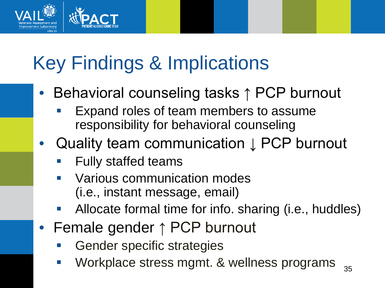## Key Findings & Implications

- Behavioral counseling tasks ↑ PCP burnout
	- Expand roles of team members to assume responsibility for behavioral counseling
- Quality team communication ↓ PCP burnout
	- Fully staffed teams
	- Various communication modes (i.e., instant message, email)
	- Allocate formal time for info. sharing (i.e., huddles)
- Female gender ↑ PCP burnout
	- **Gender specific strategies**
	- Workplace stress mgmt. & wellness programs  $_{35}$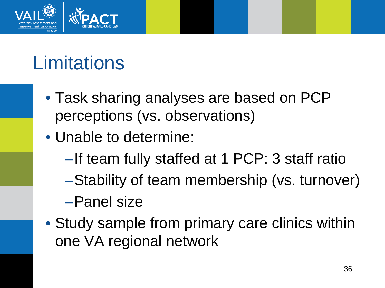

## **Limitations**

- Task sharing analyses are based on PCP perceptions (vs. observations)
- Unable to determine:
	- –If team fully staffed at 1 PCP: 3 staff ratio
	- –Stability of team membership (vs. turnover)

–Panel size

• Study sample from primary care clinics within one VA regional network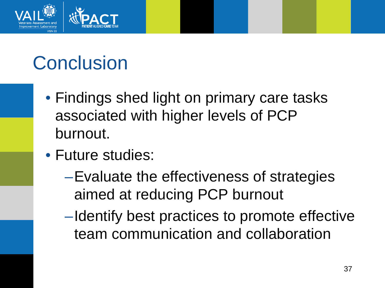

# **Conclusion**

- Findings shed light on primary care tasks associated with higher levels of PCP burnout.
- Future studies:
	- –Evaluate the effectiveness of strategies aimed at reducing PCP burnout
	- –Identify best practices to promote effective team communication and collaboration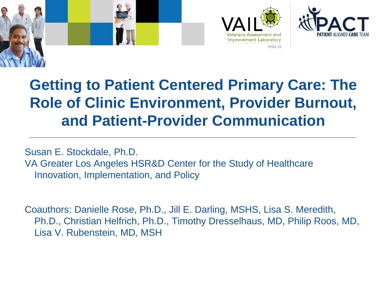





#### **Getting to Patient Centered Primary Care: The Role of Clinic Environment, Provider Burnout, and Patient-Provider Communication**

Susan E. Stockdale, Ph.D. VA Greater Los Angeles HSR&D Center for the Study of Healthcare Innovation, Implementation, and Policy

Coauthors: Danielle Rose, Ph.D., Jill E. Darling, MSHS, Lisa S. Meredith, Ph.D., Christian Helfrich, Ph.D., Timothy Dresselhaus, MD, Philip Roos, MD, Lisa V. Rubenstein, MD, MSH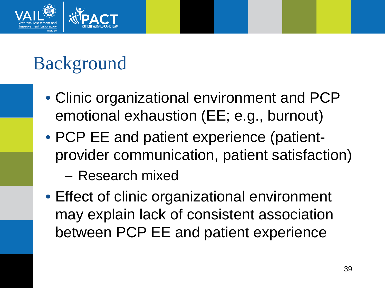

## Background

- Clinic organizational environment and PCP emotional exhaustion (EE; e.g., burnout)
- PCP EE and patient experience (patientprovider communication, patient satisfaction)
	- Research mixed
- Effect of clinic organizational environment may explain lack of consistent association between PCP EE and patient experience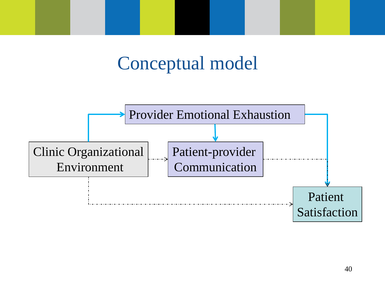### Conceptual model

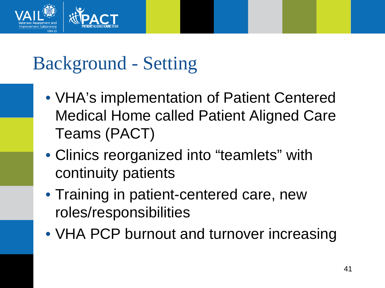

## Background - Setting

- VHA's implementation of Patient Centered Medical Home called Patient Aligned Care Teams (PACT)
- Clinics reorganized into "teamlets" with continuity patients
- Training in patient-centered care, new roles/responsibilities
- VHA PCP burnout and turnover increasing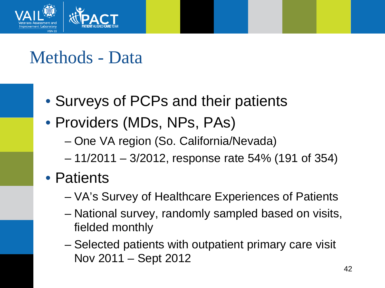

#### Methods - Data

- Surveys of PCPs and their patients
- Providers (MDs, NPs, PAs)
	- One VA region (So. California/Nevada)
	- 11/2011 3/2012, response rate 54% (191 of 354)
- Patients
	- VA's Survey of Healthcare Experiences of Patients
	- National survey, randomly sampled based on visits, fielded monthly
	- Selected patients with outpatient primary care visit Nov 2011 – Sept 2012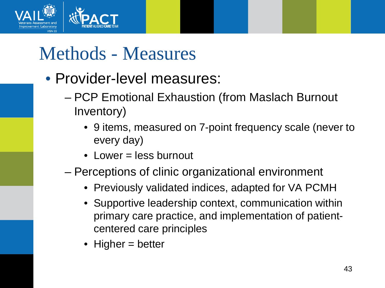

### Methods - Measures

- Provider-level measures:
	- PCP Emotional Exhaustion (from Maslach Burnout Inventory)
		- 9 items, measured on 7-point frequency scale (never to every day)
		- Lower = less burnout
	- Perceptions of clinic organizational environment
		- Previously validated indices, adapted for VA PCMH
		- Supportive leadership context, communication within primary care practice, and implementation of patientcentered care principles
		- Higher = better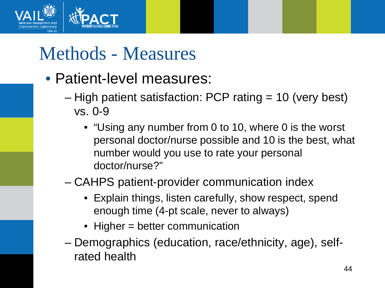

### Methods - Measures

- Patient-level measures:
	- High patient satisfaction: PCP rating = 10 (very best) vs. 0-9
		- "Using any number from 0 to 10, where 0 is the worst personal doctor/nurse possible and 10 is the best, what number would you use to rate your personal doctor/nurse?"
	- CAHPS patient-provider communication index
		- Explain things, listen carefully, show respect, spend enough time (4-pt scale, never to always)
		- Higher = better communication
	- Demographics (education, race/ethnicity, age), selfrated health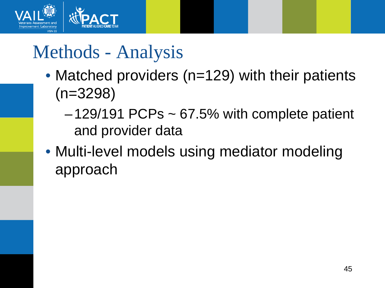

### Methods - Analysis

- Matched providers (n=129) with their patients (n=3298)
	- $-129/191$  PCPs  $\sim 67.5%$  with complete patient and provider data
- Multi-level models using mediator modeling approach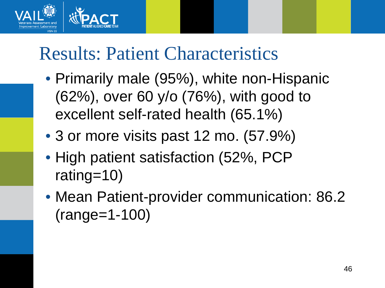

### Results: Patient Characteristics

- Primarily male (95%), white non-Hispanic (62%), over 60 y/o (76%), with good to excellent self-rated health (65.1%)
- 3 or more visits past 12 mo. (57.9%)
- High patient satisfaction (52%, PCP rating=10)
- Mean Patient-provider communication: 86.2 (range=1-100)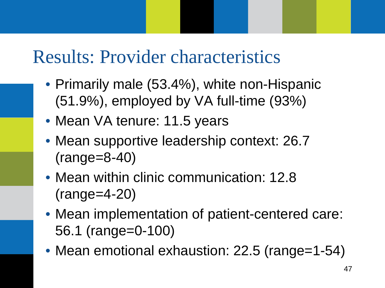### Results: Provider characteristics

- Primarily male (53.4%), white non-Hispanic (51.9%), employed by VA full-time (93%)
- Mean VA tenure: 11.5 years
- Mean supportive leadership context: 26.7 (range=8-40)
- Mean within clinic communication: 12.8 (range=4-20)
- Mean implementation of patient-centered care: 56.1 (range=0-100)
- Mean emotional exhaustion: 22.5 (range=1-54)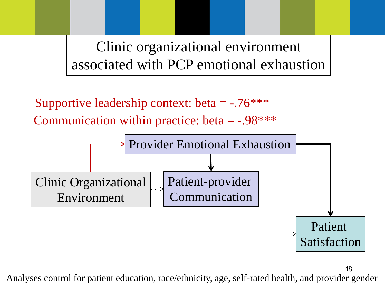Clinic organizational environment associated with PCP emotional exhaustion

Supportive leadership context: beta  $=$  -.76\*\*\* Communication within practice: beta  $=$  -.98\*\*\*



Analyses control for patient education, race/ethnicity, age, self-rated health, and provider gender

48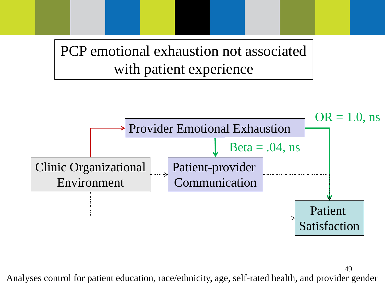PCP emotional exhaustion not associated with patient experience



49 Analyses control for patient education, race/ethnicity, age, self-rated health, and provider gender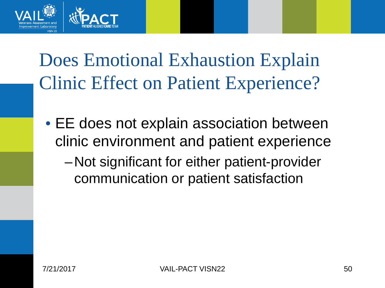

## Does Emotional Exhaustion Explain Clinic Effect on Patient Experience?

- EE does not explain association between clinic environment and patient experience
	- –Not significant for either patient-provider communication or patient satisfaction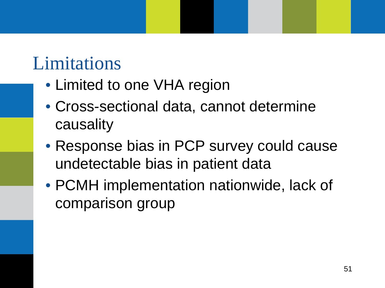### Limitations

- Limited to one VHA region
- Cross-sectional data, cannot determine causality
- Response bias in PCP survey could cause undetectable bias in patient data
- PCMH implementation nationwide, lack of comparison group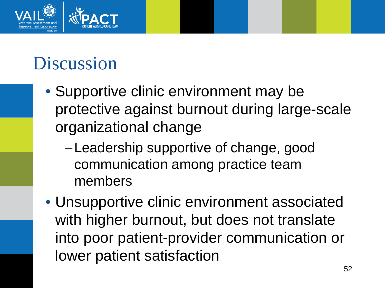

## Discussion

- Supportive clinic environment may be protective against burnout during large-scale organizational change
	- –Leadership supportive of change, good communication among practice team members
- Unsupportive clinic environment associated with higher burnout, but does not translate into poor patient-provider communication or lower patient satisfaction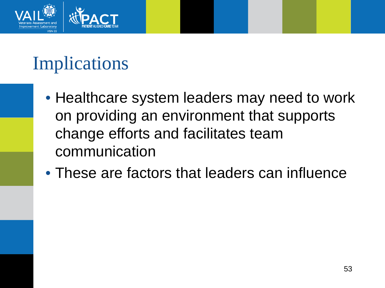

## Implications

- Healthcare system leaders may need to work on providing an environment that supports change efforts and facilitates team communication
- These are factors that leaders can influence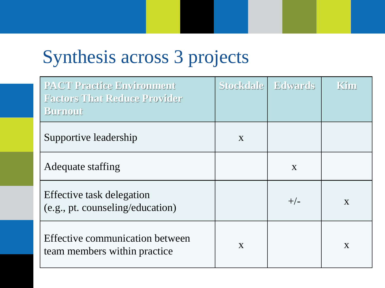### Synthesis across 3 projects

| <b>PACT Practice Environment</b><br><b>Factors That Reduce Provider</b><br><b>Burnout</b> |              | Stockdale   Edwards | Kim          |
|-------------------------------------------------------------------------------------------|--------------|---------------------|--------------|
| Supportive leadership                                                                     | X            |                     |              |
| Adequate staffing                                                                         |              | X                   |              |
| Effective task delegation<br>(e.g., pt. counseling/education)                             |              | $+/-$               | $\mathbf{X}$ |
| Effective communication between<br>team members within practice                           | $\mathbf{X}$ |                     | X            |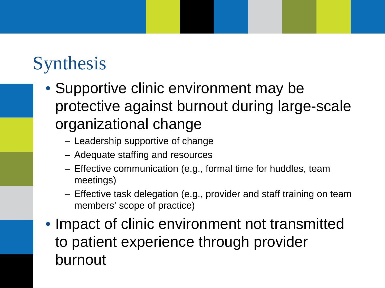## **Synthesis**

- Supportive clinic environment may be protective against burnout during large-scale organizational change
	- Leadership supportive of change
	- Adequate staffing and resources
	- Effective communication (e.g., formal time for huddles, team meetings)
	- Effective task delegation (e.g., provider and staff training on team members' scope of practice)
- Impact of clinic environment not transmitted to patient experience through provider burnout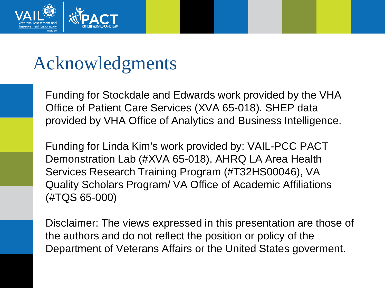

### Acknowledgments

Funding for Stockdale and Edwards work provided by the VHA Office of Patient Care Services (XVA 65-018). SHEP data provided by VHA Office of Analytics and Business Intelligence.

Funding for Linda Kim's work provided by: VAIL-PCC PACT Demonstration Lab (#XVA 65-018), AHRQ LA Area Health Services Research Training Program (#T32HS00046), VA Quality Scholars Program/ VA Office of Academic Affiliations (#TQS 65-000)

Disclaimer: The views expressed in this presentation are those of the authors and do not reflect the position or policy of the Department of Veterans Affairs or the United States goverment.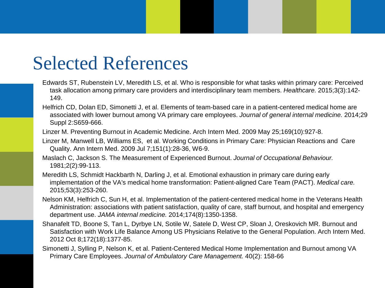### Selected References

- Edwards ST, Rubenstein LV, Meredith LS, et al. Who is responsible for what tasks within primary care: Perceived task allocation among primary care providers and interdisciplinary team members. *Healthcare.* 2015;3(3):142- 149.
- Helfrich CD, Dolan ED, Simonetti J, et al. Elements of team-based care in a patient-centered medical home are associated with lower burnout among VA primary care employees. *Journal of general internal medicine.* 2014;29 Suppl 2:S659-666.
- Linzer M. Preventing Burnout in Academic Medicine. Arch Intern Med. 2009 May 25;169(10):927-8.
- Linzer M, Manwell LB, Williams ES, et al. Working Conditions in Primary Care: Physician Reactions and Care Quality. Ann Intern Med. 2009 Jul 7;151(1):28-36, W6-9.
- Maslach C, Jackson S. The Measurement of Experienced Burnout. *Journal of Occupational Behaviour.*  1981;2(2):99-113.
- Meredith LS, Schmidt Hackbarth N, Darling J, et al. Emotional exhaustion in primary care during early implementation of the VA's medical home transformation: Patient-aligned Care Team (PACT). *Medical care.*  2015;53(3):253-260.
- Nelson KM, Helfrich C, Sun H, et al. Implementation of the patient-centered medical home in the Veterans Health Administration: associations with patient satisfaction, quality of care, staff burnout, and hospital and emergency department use. *JAMA internal medicine.* 2014;174(8):1350-1358.
- Shanafelt TD, Boone S, Tan L, Dyrbye LN, Sotile W, Satele D, West CP, Sloan J, Oreskovich MR. Burnout and Satisfaction with Work Life Balance Among US Physicians Relative to the General Population. Arch Intern Med. 2012 Oct 8;172(18):1377-85.
- Simonetti J, Sylling P, Nelson K, et al. Patient-Centered Medical Home Implementation and Burnout among VA Primary Care Employees. *Journal of Ambulatory Care Management.* 40(2): 158-66